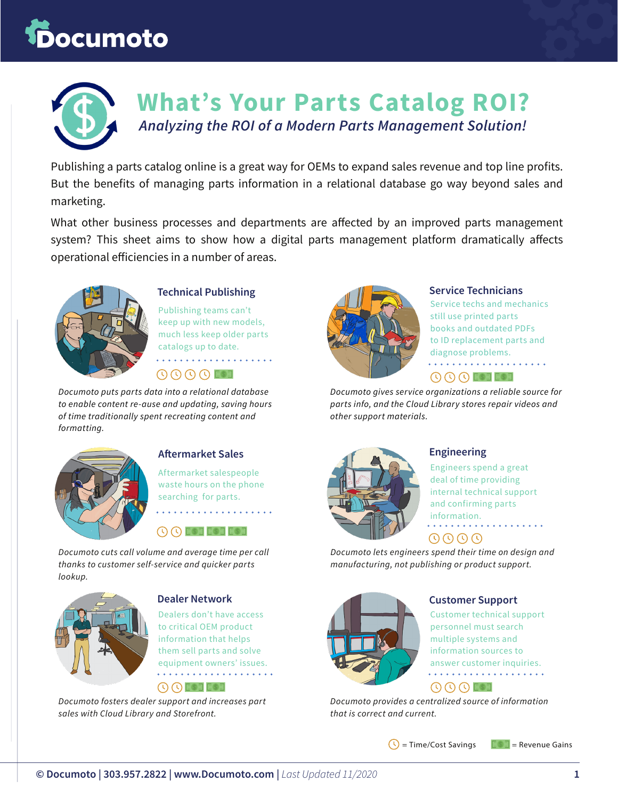# **Documoto**



# **What's Your Parts Catalog ROI?** *Analyzing the ROI of a Modern Parts Management Solution!*

Publishing a parts catalog online is a great way for OEMs to expand sales revenue and top line profits. But the benefits of managing parts information in a relational database go way beyond sales and marketing.

What other business processes and departments are affected by an improved parts management system? This sheet aims to show how a digital parts management platform dramatically affects operational efficiencies in a number of areas.



#### **Technical Publishing**

Publishing teams can't keep up with new models, much less keep older parts catalogs up to date. . . . . . . . . .

 $\mathbb{C}$   $\mathbb{C}$   $\mathbb{C}$   $\mathbb{C}$   $\mathbb{C}$   $\mathbb{C}$   $\mathbb{C}$   $\mathbb{C}$   $\mathbb{C}$   $\mathbb{C}$   $\mathbb{C}$   $\mathbb{C}$   $\mathbb{C}$   $\mathbb{C}$   $\mathbb{C}$   $\mathbb{C}$   $\mathbb{C}$   $\mathbb{C}$   $\mathbb{C}$   $\mathbb{C}$   $\mathbb{C}$   $\mathbb{C}$   $\mathbb{C}$   $\mathbb{C}$   $\mathbb{$ 

*Documoto puts parts data into a relational database to enable content re-ause and updating, saving hours of time traditionally spent recreating content and formatting.*



#### **Aftermarket Sales**

Aftermarket salespeople waste hours on the phone searching for parts. . . . . . . . . . . . . . . . . .

**O O EST EST EST** 

*Documoto cuts call volume and average time per call thanks to customer self-service and quicker parts lookup.*



#### **Dealer Network**

Dealers don't have access to critical OEM product information that helps them sell parts and solve equipment owners' issues.  $\bigcirc$   $\bigcirc$  is denoted

*Documoto fosters dealer support and increases part sales with Cloud Library and Storefront.*



#### **Service Technicians**

Service techs and mechanics still use printed parts books and outdated PDFs to ID replacement parts and diagnose problems. . . . . . . . . . . . . . . . . . . . .  $\overline{\mathbb{O}\mathbb{O}\mathbb{O}}$  est est

*Documoto gives service organizations a reliable source for parts info, and the Cloud Library stores repair videos and other support materials.*



#### **Engineering**

Engineers spend a great deal of time providing internal technical support and confirming parts information.

#### 0000

*Documoto lets engineers spend their time on design and manufacturing, not publishing or product support.*

|--|

#### **Customer Support**

Customer technical support personnel must search multiple systems and information sources to answer customer inquiries.

#### $\circledcirc \circ \circledcirc \circledcirc$

*Documoto provides a centralized source of information that is correct and current.*

 $\bigcirc$  = Time/Cost Savings  $\bigcirc$   $\bigcirc$  = Revenue Gains